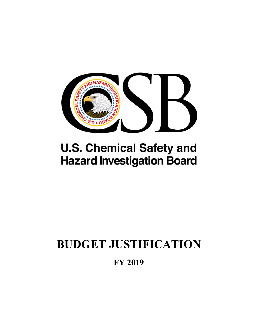

# **U.S. Chemical Safety and Hazard Investigation Board**

# **BUDGET JUSTIFICATION**

**FY 2019**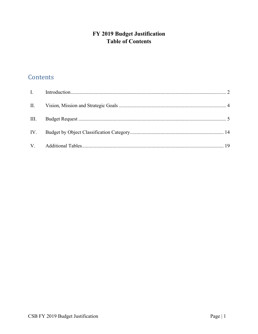# FY 2019 Budget Justification **Table of Contents**

# Contents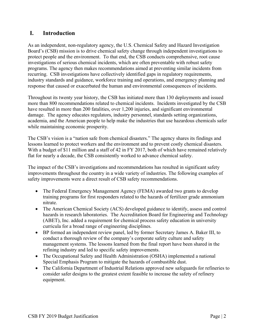# **I. Introduction**

As an independent, non-regulatory agency, the U.S. Chemical Safety and Hazard Investigation Board's (CSB) mission is to drive chemical safety change through independent investigations to protect people and the environment. To that end, the CSB conducts comprehensive, root cause investigations of serious chemical incidents, which are often preventable with robust safety programs. The agency then makes recommendations aimed at preventing similar incidents from recurring. CSB investigations have collectively identified gaps in regulatory requirements, industry standards and guidance, workforce training and operations, and emergency planning and response that caused or exacerbated the human and environmental consequences of incidents.

Throughout its twenty year history, the CSB has initiated more than 130 deployments and issued more than 800 recommendations related to chemical incidents. Incidents investigated by the CSB have resulted in more than 200 fatalities, over 1,200 injuries, and significant environmental damage. The agency educates regulators, industry personnel, standards setting organizations, academia, and the American people to help make the industries that use hazardous chemicals safer while maintaining economic prosperity.

The CSB's vision is a "nation safe from chemical disasters." The agency shares its findings and lessons learned to protect workers and the environment and to prevent costly chemical disasters. With a budget of \$11 million and a staff of 42 in FY 2017, both of which have remained relatively flat for nearly a decade, the CSB consistently worked to advance chemical safety.

The impact of the CSB's investigations and recommendations has resulted in significant safety improvements throughout the country in a wide variety of industries. The following examples of safety improvements were a direct result of CSB safety recommendations.

- The Federal Emergency Management Agency (FEMA) awarded two grants to develop training programs for first responders related to the hazards of fertilizer grade ammonium nitrate.
- The American Chemical Society (ACS) developed guidance to identify, assess and control hazards in research laboratories. The Accreditation Board for Engineering and Technology (ABET), Inc. added a requirement for chemical process safety education in university curricula for a broad range of engineering disciplines.
- BP formed an independent review panel, led by former Secretary James A. Baker III, to conduct a thorough review of the company's corporate safety culture and safety management systems. The lessons learned from the final report have been shared in the refining industry and led to specific safety improvements.
- The Occupational Safety and Health Administration (OSHA) implemented a national Special Emphasis Program to mitigate the hazards of combustible dust.
- The California Department of Industrial Relations approved new safeguards for refineries to consider safer designs to the greatest extent feasible to increase the safety of refinery equipment.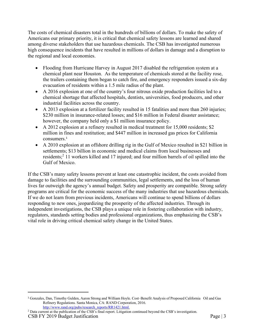The costs of chemical disasters total in the hundreds of billions of dollars. To make the safety of Americans our primary priority, it is critical that chemical safety lessons are learned and shared among diverse stakeholders that use hazardous chemicals. The CSB has investigated numerous high consequence incidents that have resulted in millions of dollars in damage and a disruption to the regional and local economies.

- Flooding from Hurricane Harvey in August 2017 disabled the refrigeration system at a chemical plant near Houston. As the temperature of chemicals stored at the facility rose, the trailers containing them began to catch fire, and emergency responders issued a six-day evacuation of residents within a 1.5 mile radius of the plant.
- A 2016 explosion at one of the country's four nitrous oxide production facilities led to a chemical shortage that affected hospitals, dentists, universities, food producers, and other industrial facilities across the country.
- A 2013 explosion at a fertilizer facility resulted in 15 fatalities and more than 260 injuries; \$230 million in insurance-related losses; and \$16 million in Federal disaster assistance; however, the company held only a \$1 million insurance policy.
- A 2012 explosion at a refinery resulted in medical treatment for 15,000 residents; \$2 million in fines and restitution; and \$447 million in increased gas prices for California consumers.<sup>1</sup>
- A 2010 explosion at an offshore drilling rig in the Gulf of Mexico resulted in \$21 billion in settlements; \$13 billion in economic and medical claims from local businesses and residents;<sup>2</sup> 11 workers killed and 17 injured; and four million barrels of oil spilled into the Gulf of Mexico.

If the CSB's many safety lessons prevent at least one catastrophic incident, the costs avoided from damage to facilities and the surrounding communities, legal settlements, and the loss of human lives far outweigh the agency's annual budget. Safety and prosperity are compatible. Strong safety programs are critical for the economic success of the many industries that use hazardous chemicals. If we do not learn from previous incidents, Americans will continue to spend billions of dollars responding to new ones, jeopardizing the prosperity of the affected industries. Through its independent investigations, the CSB plays a unique role in fostering collaboration with industry, regulators, standards setting bodies and professional organizations, thus emphasizing the CSB's vital role in driving critical chemical safety change in the United States.

CSB FY 2019 Budget Justification Page | 3 2 Data current at the publication of the CSB's final report. Litigation continued beyond the CSB's investigation.

<sup>1</sup> Gonzales, Dan, Timothy Gulden, Aaron Strong and William Hoyle. Cost–Benefit Analysis of Proposed California Oil and Gas Refinery Regulations. Santa Monica, CA: RAND Corporation, 2016. http://www.rand.org/pubs/research\_reports/RR1421.html.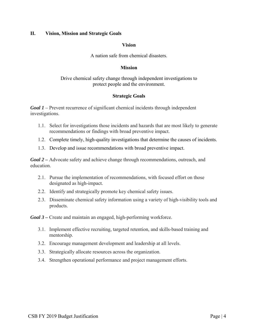# **II. Vision, Mission and Strategic Goals**

# **Vision**

# A nation safe from chemical disasters.

# **Mission**

# Drive chemical safety change through independent investigations to protect people and the environment.

# **Strategic Goals**

*Goal 1* – Prevent recurrence of significant chemical incidents through independent investigations.

- 1.1. Select for investigations those incidents and hazards that are most likely to generate recommendations or findings with broad preventive impact.
- 1.2. Complete timely, high-quality investigations that determine the causes of incidents.
- 1.3. Develop and issue recommendations with broad preventive impact.

*Goal 2 –* Advocate safety and achieve change through recommendations, outreach, and education.

- 2.1. Pursue the implementation of recommendations, with focused effort on those designated as high-impact.
- 2.2. Identify and strategically promote key chemical safety issues.
- 2.3. Disseminate chemical safety information using a variety of high-visibility tools and products.

*Goal 3 –* Create and maintain an engaged, high-performing workforce.

- 3.1. Implement effective recruiting, targeted retention, and skills-based training and mentorship.
- 3.2. Encourage management development and leadership at all levels.
- 3.3. Strategically allocate resources across the organization.
- 3.4. Strengthen operational performance and project management efforts.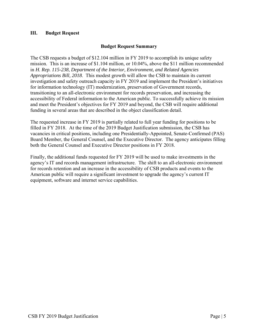# **III. Budget Request**

# **Budget Request Summary**

The CSB requests a budget of \$12.104 million in FY 2019 to accomplish its unique safety mission. This is an increase of \$1.104 million, or 10.04%, above the \$11 million recommended in *H. Rep. 115-238, Department of the Interior, Environment, and Related Agencies Appropriations Bill, 2018*. This modest growth will allow the CSB to maintain its current investigation and safety outreach capacity in FY 2019 and implement the President's initiatives for information technology (IT) modernization, preservation of Government records, transitioning to an all-electronic environment for records preservation, and increasing the accessibility of Federal information to the American public. To successfully achieve its mission and meet the President's objectives for FY 2019 and beyond, the CSB will require additional funding in several areas that are described in the object classification detail.

The requested increase in FY 2019 is partially related to full year funding for positions to be filled in FY 2018. At the time of the 2019 Budget Justification submission, the CSB has vacancies in critical positions, including one Presidentially-Appointed, Senate-Confirmed (PAS) Board Member, the General Counsel, and the Executive Director. The agency anticipates filling both the General Counsel and Executive Director positions in FY 2018.

Finally, the additional funds requested for FY 2019 will be used to make investments in the agency's IT and records management infrastructure. The shift to an all-electronic environment for records retention and an increase in the accessibility of CSB products and events to the American public will require a significant investment to upgrade the agency's current IT equipment, software and internet service capabilities.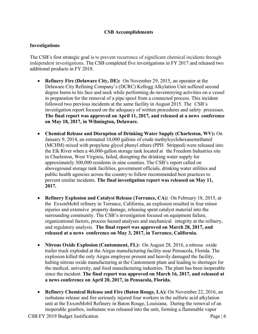# **CSB Accomplishments**

# **Investigations**

The CSB's first strategic goal is to prevent recurrence of significant chemical incidents through independent investigations. The CSB completed five investigations in FY 2017 and released two additional products in FY 2018.

- **Refinery Fire (Delaware City, DE):** On November 29, 2015, an operator at the Delaware City Refining Company's (DCRC) Kellogg Alkylation Unit suffered second degree burns to his face and neck while performing de-inventorying activities on a vessel in preparation for the removal of a pipe spool from a connected process. This incident followed two previous incidents at the same facility in August 2015. The CSB's investigation report focused on the adequacy of written procedures and safety processes. **The final report was approved on April 11, 2017, and released at a news conference on May 18, 2017, in Wilmington, Delaware.**
- **Chemical Release and Disruption of Drinking Water Supply (Charleston, WV):** On January 9, 2014, an estimated 10,000 gallons of crude methylcyclohexanemethanol (MCHM) mixed with propylene glycol phenyl ethers (PPH Stripped) were released into the Elk River when a 46,000-gallon storage tank located at the Freedom Industries site in Charleston, West Virginia, failed, disrupting the drinking water supply for approximately 300,000 residents in nine counties. The CSB's report called on aboveground storage tank facilities, government officials, drinking water utilities and public health agencies across the country to follow recommended best practices to prevent similar incidents. **The final investigation report was released on May 11, 2017.**
- **Refinery Explosion and Catalyst Release (Torrance, CA):** On February 18, 2015, at the ExxonMobil refinery in Torrance, California, an explosion resulted in four minor injuries and extensive property damage, releasing spent catalyst material into the surrounding community. The CSB's investigation focused on equipment failure, organizational factors, process hazard analyses and mechanical integrity at the refinery, and regulatory analysis. **The final report was approved on March 28, 2017, and released at a news conference on May 3, 2017, in Torrance, California.**
- **Nitrous Oxide Explosion (Cantonment, FL):** On August 28, 2016, a nitrous oxide trailer truck exploded at the Airgas manufacturing facility near Pensacola, Florida. The explosion killed the only Airgas employee present and heavily damaged the facility, halting nitrous oxide manufacturing at the Cantonment plant and leading to shortages for the medical, university, and food manufacturing industries. The plant has been inoperable since the incident. **The final report was approved on March 16, 2017, and released at a news conference on April 20, 2017, in Pensacola, Florida.**
- **Refinery Chemical Release and Fire (Baton Rouge, LA):** On November 22, 2016, an isobutane release and fire seriously injured four workers in the sulfuric acid alkylation unit at the ExxonMobil Refinery in Baton Rouge, Louisiana. During the removal of an inoperable gearbox, isobutane was released into the unit, forming a flammable vapor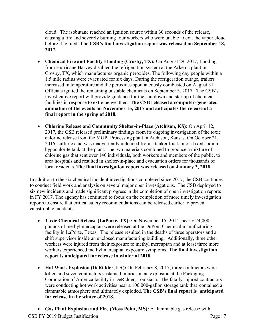cloud. The isobutane reached an ignition source within 30 seconds of the release, causing a fire and severely burning four workers who were unable to exit the vapor cloud before it ignited. **The CSB's final investigation report was released on September 18, 2017.**

- **Chemical Fire and Facility Flooding (Crosby, TX):** On August 29, 2017, flooding from Hurricane Harvey disabled the refrigeration system at the Arkema plant in Crosby, TX, which manufactures organic peroxides. The following day people within a 1.5 mile radius were evacuated for six days. During the refrigeration outage, trailers increased in temperature and the peroxides spontaneously combusted on August 31. Officials ignited the remaining unstable chemicals on September 3, 2017. The CSB's investigative report will provide guidance for the shutdown and startup of chemical facilities in response to extreme weather. **The CSB released a computer-generated animation of the events on November 15, 2017 and anticipates the release of a final report in the spring of 2018.**
- **Chlorine Release and Community Shelter-in-Place (Atchison, KS):** On April 12, 2017, the CSB released preliminary findings from its ongoing investigation of the toxic chlorine release from the MGPI Processing plant in Atchison, Kansas. On October 21, 2016, sulfuric acid was inadvertently unloaded from a tanker truck into a fixed sodium hypochlorite tank at the plant. The two materials combined to produce a mixture of chlorine gas that sent over 140 individuals, both workers and members of the public, to area hospitals and resulted in shelter-in-place and evacuation orders for thousands of local residents. **The final investigation report was released on January 3, 2018.**

In addition to the six chemical incident investigations completed since 2017, the CSB continues to conduct field work and analysis on several major open investigations. The CSB deployed to six new incidents and made significant progress in the completion of open investigation reports in FY 2017. The agency has continued to focus on the completion of more timely investigation reports to ensure that critical safety recommendations can be released earlier to prevent catastrophic incidents.

- **Toxic Chemical Release (LaPorte, TX):** On November 15, 2014, nearly 24,000 pounds of methyl mercaptan were released at the DuPont Chemical manufacturing facility in LaPorte, Texas. The release resulted in the deaths of three operators and a shift supervisor inside an enclosed manufacturing building. Additionally, three other workers were injured from their exposure to methyl mercaptan and at least three more workers experienced methyl mercaptan exposure symptoms. **The final investigation report is anticipated for release in winter of 2018.**
- Hot Work Explosion (DeRidder, LA): On February 8, 2017, three contractors were killed and seven contractors sustained injuries in an explosion at the Packaging Corporation of America facility in DeRidder, Louisiana. The fatally-injured contractors were conducting hot work activities near a 100,000-gallon storage tank that contained a flammable atmosphere and ultimately exploded. **The CSB's final report is anticipated for release in the winter of 2018.**
- **Gas Plant Explosion and Fire (Moss Point, MS):** A flammable gas release with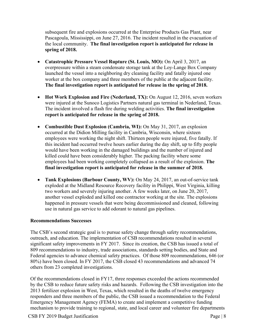subsequent fire and explosions occurred at the Enterprise Products Gas Plant, near Pascagoula, Mississippi, on June 27, 2016. The incident resulted in the evacuation of the local community. **The final investigation report is anticipated for release in spring of 2018.** 

- **Catastrophic Pressure Vessel Rupture (St. Louis, MO):** On April 3, 2017, an overpressure within a steam condensate storage tank at the Loy-Lange Box Company launched the vessel into a neighboring dry cleaning facility and fatally injured one worker at the box company and three members of the public at the adjacent facility. **The final investigation report is anticipated for release in the spring of 2018.**
- Hot Work Explosion and Fire (Nederland, TX): On August 12, 2016, seven workers were injured at the Sunoco Logistics Partners natural gas terminal in Nederland, Texas. The incident involved a flash fire during welding activities. **The final investigation report is anticipated for release in the spring of 2018.**
- **Combustible Dust Explosion (Cambria, WI):** On May 31, 2017, an explosion occurred at the Didion Milling facility in Cambria, Wisconsin, where sixteen employees were working the night shift. Thirteen people were injured, five fatally. If this incident had occurred twelve hours earlier during the day shift, up to fifty people would have been working in the damaged buildings and the number of injured and killed could have been considerably higher. The packing facility where some employees had been working completely collapsed as a result of the explosion. **The final investigation report is anticipated for release in the summer of 2018.**
- **Tank Explosions (Barbour County, WV):** On May 24, 2017, an out-of-service tank exploded at the Midland Resource Recovery facility in Philippi, West Virginia, killing two workers and severely injuring another. A few weeks later, on June 20, 2017, another vessel exploded and killed one contractor working at the site. The explosions happened in pressure vessels that were being decommissioned and cleaned, following use in natural gas service to add odorant to natural gas pipelines.

# **Recommendations Successes**

The CSB's second strategic goal is to pursue safety change through safety recommendations, outreach, and education. The implementation of CSB recommendations resulted in several significant safety improvements in FY 2017. Since its creation, the CSB has issued a total of 809 recommendations to industry, trade associations, standards setting bodies, and State and Federal agencies to advance chemical safety practices. Of those 809 recommendations, 646 (or 80%) have been closed. In FY 2017, the CSB closed 43 recommendations and advanced 74 others from 23 completed investigations.

Of the recommendations closed in FY17, three responses exceeded the actions recommended by the CSB to reduce future safety risks and hazards. Following the CSB investigation into the 2013 fertilizer explosion in West, Texas, which resulted in the deaths of twelve emergency responders and three members of the public, the CSB issued a recommendation to the Federal Emergency Management Agency (FEMA) to create and implement a competitive funding mechanism to provide training to regional, state, and local career and volunteer fire departments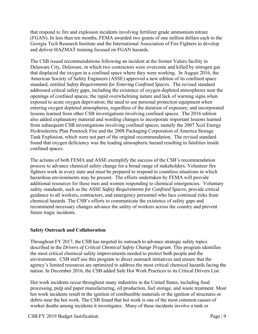that respond to fire and explosion incidents involving fertilizer grade ammonium nitrate (FGAN). In less than ten months, FEMA awarded two grants of one million dollars each to the Georgia Tech Research Institute and the International Association of Fire Fighters to develop and deliver HAZMAT training focused on FGAN hazards.

The CSB issued recommendations following an incident at the former Valero facility in Delaware City, Delaware, in which two contractors were overcome and killed by nitrogen gas that displaced the oxygen in a confined space where they were working. In August 2016, the American Society of Safety Engineers (ASSE) approved a new edition of its confined space standard, entitled *Safety Requirements for Entering Confined Spaces*. The revised standard addressed critical safety gaps, including the existence of oxygen-depleted atmospheres near the openings of confined spaces; the rapid overwhelming nature and lack of warning signs when exposed to acute oxygen deprivation; the need to use personal protection equipment when entering oxygen depleted atmospheres, regardless of the duration of exposure; and incorporated lessons learned from other CSB investigations involving confined spaces. The 2016 edition also added explanatory material and wording changes to incorporate important lessons learned from subsequent CSB investigations involving confined spaces; namely the 2007 Xcel Energy Hydroelectric Plan Penstock Fire and the 2008 Packaging Corporation of America Storage Tank Explosion, which were not part of the original recommendation. The revised standard found that oxygen deficiency was the leading atmospheric hazard resulting in fatalities inside confined spaces.

The actions of both FEMA and ASSE exemplify the success of the CSB's recommendation process to advance chemical safety change for a broad range of stakeholders. Volunteer fire fighters work in every state and must be prepared to respond to countless situations in which hazardous environments may be present. The efforts undertaken by FEMA will provide additional resources for these men and women responding to chemical emergencies. Voluntary safety standards, such as the ASSE *Safety Requirements for Confined Spaces*, provide critical guidance to all workers, contractors, and emergency personnel who face continual risks from chemical hazards. The CSB's efforts to communicate the existence of safety gaps and recommend necessary changes advance the safety of workers across the country and prevent future tragic incidents.

# **Safety Outreach and Collaboration**

Throughout FY 2017, the CSB has targeted its outreach to advance strategic safety topics described in the *Drivers of Critical Chemical Safety Change Program*. This program identifies the most critical chemical safety improvements needed to protect both people and the environment. CSB staff use this program to direct outreach initiatives and ensure that the agency's limited resources are optimized to address the most critical chemical hazards facing the nation. In December 2016, the CSB added Safe Hot Work Practices to its Critical Drivers List.

Hot work incidents occur throughout many industries in the United States, including food processing, pulp and paper manufacturing, oil production, fuel storage, and waste treatment. Most hot work incidents result in the ignition of combustible materials or the ignition of structures or debris near the hot work. The CSB found that hot work is one of the most common causes of worker deaths among incidents it investigates. Many of these incidents involve a tank or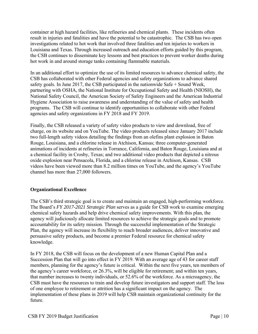container at high hazard facilities, like refineries and chemical plants. These incidents often result in injuries and fatalities and have the potential to be catastrophic. The CSB has two open investigations related to hot work that involved three fatalities and ten injuries to workers in Louisiana and Texas. Through increased outreach and education efforts guided by this program, the CSB continues to disseminate key lessons and best practices to prevent worker deaths during hot work in and around storage tanks containing flammable materials.

In an additional effort to optimize the use of its limited resources to advance chemical safety, the CSB has collaborated with other Federal agencies and safety organizations to advance shared safety goals. In June 2017, the CSB participated in the nationwide Safe + Sound Week, partnering with OSHA, the National Institute for Occupational Safety and Health (NIOSH), the National Safety Council, the American Society of Safety Engineers and the American Industrial Hygiene Association to raise awareness and understanding of the value of safety and health programs. The CSB will continue to identify opportunities to collaborate with other Federal agencies and safety organizations in FY 2018 and FY 2019.

Finally, the CSB released a variety of safety video products to view and download, free of charge, on its website and on YouTube. The video products released since January 2017 include two full-length safety videos detailing the findings from an olefins plant explosion in Baton Rouge, Louisiana, and a chlorine release in Atchison, Kansas; three computer-generated animations of incidents at refineries in Torrance, California, and Baton Rouge, Louisiana and at a chemical facility in Crosby, Texas; and two additional video products that depicted a nitrous oxide explosion near Pensacola, Florida, and a chlorine release in Atchison, Kansas. CSB videos have been viewed more than 8.2 million times on YouTube, and the agency's YouTube channel has more than 27,000 followers.

# **Organizational Excellence**

The CSB's third strategic goal is to create and maintain an engaged, high-performing workforce. The Board's *FY 2017-2021 Strategic Plan* serves as a guide for CSB work to examine emerging chemical safety hazards and help drive chemical safety improvements. With this plan, the agency will judiciously allocate limited resources to achieve the strategic goals and to promote accountability for its safety mission. Through the successful implementation of the Strategic Plan, the agency will increase its flexibility to reach broader audiences, deliver innovative and persuasive safety products, and become a premier Federal resource for chemical safety knowledge.

In FY 2018, the CSB will focus on the development of a new Human Capital Plan and a Succession Plan that will go into effect in FY 2019. With an average age of 43 for career staff members, planning for the agency's future is critical. Within the next five years, ten members of the agency's career workforce, or 26.3%, will be eligible for retirement; and within ten years, that number increases to twenty individuals, or 52.6% of the workforce. As a microagency, the CSB must have the resources to train and develop future investigators and support staff. The loss of one employee to retirement or attrition has a significant impact on the agency. The implementation of these plans in 2019 will help CSB maintain organizational continuity for the future.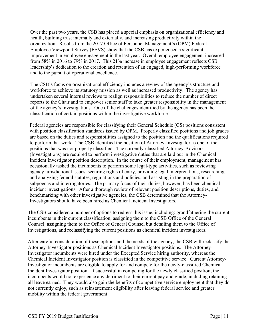Over the past two years, the CSB has placed a special emphasis on organizational efficiency and health, building trust internally and externally, and increasing productivity within the organization. Results from the 2017 Office of Personnel Management's (OPM) Federal Employee Viewpoint Survey (FEVS) show that the CSB has experienced a significant improvement in employee engagement in the last year. Overall employee engagement increased from 58% in 2016 to 79% in 2017. This 21% increase in employee engagement reflects CSB leadership's dedication to the creation and retention of an engaged, high-performing workforce and to the pursuit of operational excellence.

The CSB's focus on organizational efficiency includes a review of the agency's structure and workforce to achieve its statutory mission as well as increased productivity. The agency has undertaken several internal reviews to realign responsibilities to reduce the number of direct reports to the Chair and to empower senior staff to take greater responsibility in the management of the agency's investigations. One of the challenges identified by the agency has been the classification of certain positions within the investigative workforce.

Federal agencies are responsible for classifying their General Schedule (GS) positions consistent with position classification standards issued by OPM. Properly classified positions and job grades are based on the duties and responsibilities assigned to the position and the qualifications required to perform that work. The CSB identified the position of Attorney-Investigator as one of the positions that was not properly classified. The currently-classified Attorney-Advisors (Investigations) are required to perform investigative duties that are laid out in the Chemical Incident Investigator position description. In the course of their employment, management has occasionally tasked the incumbents to perform some legal-type activities, such as reviewing agency jurisdictional issues, securing rights of entry, providing legal interpretations, researching and analyzing federal statutes, regulations and policies, and assisting in the preparation of subpoenas and interrogatories. The primary focus of their duties, however, has been chemical incident investigations. After a thorough review of relevant position descriptions, duties, and benchmarking with other investigative agencies, the CSB determined that the Attorney-Investigators should have been hired as Chemical Incident Investigators.

The CSB considered a number of options to redress this issue, including: grandfathering the current incumbents in their current classification, assigning them to the CSB Office of the General Counsel, assigning them to the Office of General Counsel but detailing them to the Office of Investigations, and reclassifying the current positions as chemical incident investigators.

After careful consideration of these options and the needs of the agency, the CSB will reclassify the Attorney-Investigator positions as Chemical Incident Investigator positions. The Attorney-Investigator incumbents were hired under the Excepted Service hiring authority, whereas the Chemical Incident Investigator position is classified in the competitive service. Current Attorney-Investigator incumbents are eligible to apply for and compete for the newly-classified Chemical Incident Investigator position. If successful in competing for the newly classified position, the incumbents would not experience any detriment to their current pay and grade, including retaining all leave earned. They would also gain the benefits of competitive service employment that they do not currently enjoy, such as reinstatement eligibility after leaving federal service and greater mobility within the federal government.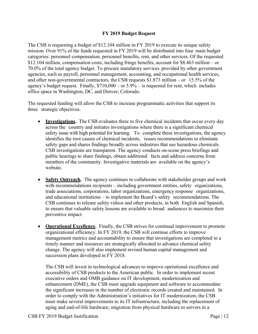# **FY 2019 Budget Request**

The CSB is requesting a budget of \$12.104 million in FY 2019 to execute its unique safety mission. Over 91% of the funds requested in FY 2019 will be distributed into four main budget categories: personnel compensation, personnel benefits, rent, and other services. Of the requested \$12.104 million, compensation costs, including fringe benefits, account for \$8.463 million – or 70.0% of the total agency budget. To procure mandatory services provided by other government agencies, such as payroll, personnel management, accounting, and occupational health services, and other non-governmental contractors, the CSB requests \$1.873 million – or 15.5% of the agency's budget request. Finally,  $$710,000 - or 5.9\% - is requested for rent, which includes$ office space in Washington, DC, and Denver, Colorado.

The requested funding will allow the CSB to increase programmatic activities that support its three strategic objectives.

- **Investigations.** The CSB evaluates three to five chemical incidents that occur every day across the country and initiates investigations where there is a significant chemical safety issue with high potential for learning. To complete these investigations, the agency identifies the root causes of chemical incidents, issues recommendations to eliminate safety gaps and shares findings broadly across industries that use hazardous chemicals. CSB investigations are transparent. The agency conducts on-scene press briefings and public hearings to share findings, obtain additional facts and address concerns from members of the community. Investigative materials are available on the agency's website.
- **Safety Outreach.** The agency continues to collaborate with stakeholder groups and work with recommendations recipients – including government entities, safety organizations, trade associations, corporations, labor organizations, emergency response organizations, and educational institutions – to implement the Board's safety recommendations. The CSB continues to release safety videos and other products, in both English and Spanish, to ensure that valuable safety lessons are available to broad audiences to maximize their preventive impact.
- **Operational Excellence.** Finally, the CSB strives for continual improvement to promote organizational efficiency. In FY 2019, the CSB will continue efforts to improve management metrics and accountability to ensure that investigations are completed in a timely manner and resources are strategically allocated to advance chemical safety change. The agency will also implement revised human capital management and succession plans developed in FY 2018.

The CSB will invest in technological advances to improve operational excellence and accessibility of CSB products to the American public. In order to implement recent executive orders and OMB guidance on IT development, modernization and enhancement (DME), the CSB must upgrade equipment and software to accommodate the significant increases in the number of electronic records created and maintained. In order to comply with the Administration's initiatives for IT modernization, the CSB must make several improvements to its IT infrastructure, including the replacement of aging and end-of-life hardware; migration from physical hardware to servers in a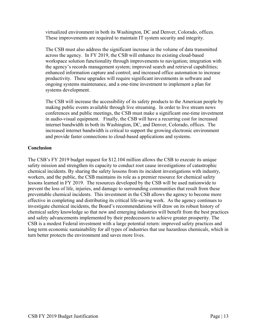virtualized environment in both its Washington, DC and Denver, Colorado, offices. These improvements are required to maintain IT system security and integrity.

The CSB must also address the significant increase in the volume of data transmitted across the agency. In FY 2019, the CSB will enhance its existing cloud-based workspace solution functionality through improvements to navigation; integration with the agency's records management system; improved search and retrieval capabilities; enhanced information capture and control; and increased office automation to increase productivity. These upgrades will require significant investments in software and ongoing systems maintenance, and a one-time investment to implement a plan for systems development.

The CSB will increase the accessibility of its safety products to the American people by making public events available through live streaming. In order to live stream news conferences and public meetings, the CSB must make a significant one-time investment in audio-visual equipment. Finally, the CSB will have a recurring cost for increased internet bandwidth in both its Washington, DC, and Denver, Colorado, offices. The increased internet bandwidth is critical to support the growing electronic environment and provide faster connections to cloud-based applications and systems.

## **Conclusion**

The CSB's FY 2019 budget request for \$12.104 million allows the CSB to execute its unique safety mission and strengthen its capacity to conduct root cause investigations of catastrophic chemical incidents. By sharing the safety lessons from its incident investigations with industry, workers, and the public, the CSB maintains its role as a premier resource for chemical safety lessons learned in FY 2019. The resources developed by the CSB will be used nationwide to prevent the loss of life, injuries, and damage to surrounding communities that result from these preventable chemical incidents. This investment in the CSB allows the agency to become more effective in completing and distributing its critical life-saving work. As the agency continues to investigate chemical incidents, the Board's recommendations will draw on its robust history of chemical safety knowledge so that new and emerging industries will benefit from the best practices and safety advancements implemented by their predecessors to achieve greater prosperity. The CSB is a modest Federal investment with a large potential return: improved safety practices and long term economic sustainability for all types of industries that use hazardous chemicals, which in turn better protects the environment and saves more lives.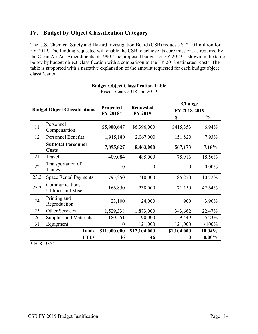# **IV. Budget by Object Classification Category**

The U.S. Chemical Safety and Hazard Investigation Board (CSB) requests \$12.104 million for FY 2019. The funding requested will enable the CSB to achieve its core mission, as required by the Clean Air Act Amendments of 1990. The proposed budget for FY 2019 is shown in the table below by budget object classification with a comparison to the FY 2018 estimated costs. The table is supported with a narrative explanation of the amount requested for each budget object classification.

| <b>Budget Object Classifications</b> |                                           | Projected<br><b>Requested</b><br>FY 2018*<br><b>FY 2019</b> |              | Change<br>FY 2018-2019 |               |
|--------------------------------------|-------------------------------------------|-------------------------------------------------------------|--------------|------------------------|---------------|
|                                      |                                           |                                                             |              | <sup>\$</sup>          | $\frac{6}{9}$ |
| 11                                   | Personnel<br>Compensation                 | \$5,980,647                                                 | \$6,396,000  | \$415,353              | 6.94%         |
| 12                                   | <b>Personnel Benefits</b>                 | 1,915,180                                                   | 2,067,000    | 151,820                | 7.93%         |
|                                      | <b>Subtotal Personnel</b><br><b>Costs</b> | 7,895,827                                                   | 8,463,000    | 567,173                | 7.18%         |
| 21                                   | Travel                                    | 409,084                                                     | 485,000      | 75,916                 | 18.56%        |
| 22                                   | Transportation of<br>Things               | $\theta$                                                    | $\theta$     | $\theta$               | $0.00\%$      |
| 23.2                                 | <b>Space Rental Payments</b>              | 795,250                                                     | 710,000      | $-85,250$              | $-10.72%$     |
| 23.3                                 | Communications,<br>Utilities and Misc.    | 166,850                                                     | 238,000      | 71,150                 | 42.64%        |
| 24                                   | Printing and<br>Reproduction              | 23,100                                                      | 24,000       | 900                    | 3.90%         |
| 25                                   | Other Services                            | 1,529,338                                                   | 1,873,000    | 343,662                | 22.47%        |
| 26                                   | <b>Supplies and Materials</b>             | 180,551                                                     | 190,000      | 9,449                  | 5.23%         |
| 31                                   | Equipment                                 | $\theta$                                                    | 121,000      | 121,000                | $>100\%$      |
|                                      | <b>Totals</b>                             | \$11,000,000                                                | \$12,104,000 | \$1,104,000            | 10.04%        |
|                                      | <b>FTEs</b>                               | 46                                                          | 46           | 0                      | $0.00\%$      |

**Budget Object Classification Table** Fiscal Years 2018 and 2019

\* H.R. 3354.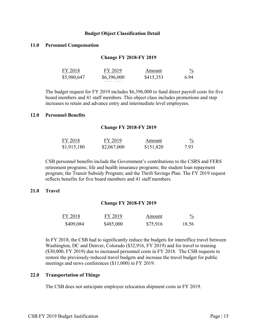## **Budget Object Classification Detail**

## **11.0 Personnel Compensation**

### **Change FY 2018-FY 2019**

| FY 2018     | FY 2019          | Amount    | $\frac{0}{2}$ |
|-------------|------------------|-----------|---------------|
| \$5,980,647 | \$6,396,000<br>. | \$415,353 | 6.94          |
|             |                  |           |               |

The budget request for FY 2019 includes \$6,396,000 to fund direct payroll costs for five board members and 41 staff members. This object class includes promotions and step increases to retain and advance entry and intermediate level employees.

#### **12.0 Personnel Benefits**

#### **Change FY 2018-FY 2019**

| FY 2018     | FY 2019     | Amount    | $\%$ |
|-------------|-------------|-----------|------|
| \$1,915,180 | \$2,067,000 | \$151,820 | 7.93 |

CSB personnel benefits include the Government's contributions to the CSRS and FERS retirement programs; life and health insurance programs; the student loan repayment program; the Transit Subsidy Program; and the Thrift Savings Plan. The FY 2019 request reflects benefits for five board members and 41 staff members.

## **21.0 Travel**

## **Change FY 2018-FY 2019**

| FY 2018   | FY 2019   | Amount   | $\frac{0}{0}$ |
|-----------|-----------|----------|---------------|
| \$409,084 | \$485,000 | \$75,916 | 18.56         |

In FY 2018, the CSB had to significantly reduce the budgets for interoffice travel between Washington, DC and Denver, Colorado (\$32,916, FY 2019) and for travel to training (\$30,000, FY 2019) due to increased personnel costs in FY 2018. The CSB requests to restore the previously-reduced travel budgets and increase the travel budget for public meetings and news conferences (\$11,000) in FY 2019.

# **22.0 Transportation of Things**

The CSB does not anticipate employee relocation shipment costs in FY 2019.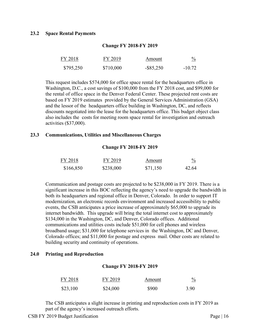## **23.2 Space Rental Payments**

| FY 2018   | FY 2019   | Amount       | $\frac{0}{2}$ |
|-----------|-----------|--------------|---------------|
| \$795,250 | \$710,000 | $-$ \$85,250 | $-10.72$      |

**Change FY 2018-FY 2019**

This request includes \$574,000 for office space rental for the headquarters office in Washington, D.C., a cost savings of \$100,000 from the FY 2018 cost, and \$99,000 for the rental of office space in the Denver Federal Center. These projected rent costs are based on FY 2019 estimates provided by the General Services Administration (GSA) and the lessor of the headquarters office building in Washington, DC, and reflects discounts negotiated into the lease for the headquarters office. This budget object class also includes the costs for meeting room space rental for investigation and outreach activities (\$37,000).

#### **23.3 Communications, Utilities and Miscellaneous Charges**

#### **Change FY 2018-FY 2019**

| FY 2018   | FY 2019   | Amount   | $\frac{0}{2}$ |
|-----------|-----------|----------|---------------|
| \$166,850 | \$238,000 | \$71,150 | 42.64         |

Communication and postage costs are projected to be \$238,000 in FY 2019. There is a significant increase in this BOC reflecting the agency's need to upgrade the bandwidth in both its headquarters and regional office in Denver, Colorado. In order to support IT modernization, an electronic records environment and increased accessibility to public events, the CSB anticipates a price increase of approximately \$65,000 to upgrade its internet bandwidth. This upgrade will bring the total internet cost to approximately \$134,000 in the Washington, DC, and Denver, Colorado offices. Additional communications and utilities costs include \$51,000 for cell phones and wireless broadband usage; \$31,000 for telephone services in the Washington, DC and Denver, Colorado offices; and \$11,000 for postage and express mail. Other costs are related to building security and continuity of operations.

#### **24.0 Printing and Reproduction**

#### **Change FY 2018-FY 2019**

| FY 2018  | FY 2019  | Amount | $\frac{0}{2}$ |
|----------|----------|--------|---------------|
| \$23,100 | \$24,000 | \$900  | 3.90          |

The CSB anticipates a slight increase in printing and reproduction costs in FY 2019 as part of the agency's increased outreach efforts.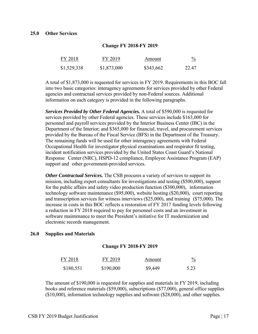| FY 2018     | FY 2019     | Amount    | $\frac{0}{0}$ |
|-------------|-------------|-----------|---------------|
| \$1,529,338 | \$1,873,000 | \$343,662 | 22.47         |

**Change FY 2018-FY 2019**

A total of \$1,873,000 is requested for services in FY 2019. Requirements in this BOC fall into two basic categories: interagency agreements for services provided by other Federal agencies and contractual services provided by non-Federal sources. Additional information on each category is provided in the following paragraphs.

*Services Provided by Other Federal Agencies.* A total of \$590,000 is requested for services provided by other Federal agencies. These services include \$163,000 for personnel and payroll services provided by the Interior Business Center (IBC) in the Department of the Interior; and \$365,000 for financial, travel, and procurement services provided by the Bureau of the Fiscal Service (BFS) in the Department of the Treasury. The remaining funds will be used for other interagency agreements with Federal Occupational Health for investigator physical examinations and respirator fit testing, incident notification services provided by the United States Coast Guard's National Response Center (NRC), HSPD-12 compliance, Employee Assistance Program (EAP) support and other government-provided services.

*Other Contractual Services.* The CSB procures a variety of services to support its mission, including expert consultants for investigations and testing (\$500,000), support for the public affairs and safety video production function (\$300,000), information technology software maintenance (\$95,000), website hosting (\$20,000), court reporting and transcription services for witness interviews (\$25,000), and training (\$75,000). The increase in costs in this BOC reflects a restoration of FY 2017 funding levels following a reduction in FY 2018 required to pay for personnel costs and an investment in software maintenance to meet the President's initiative for IT modernization and electronic records management.

## **26.0 Supplies and Materials**

#### **Change FY 2018-FY 2019**

| FY 2018   | FY 2019   | Amount  | $\frac{0}{0}$ |
|-----------|-----------|---------|---------------|
| \$180,551 | \$190,000 | \$9,449 | 5.23          |

The amount of \$190,000 is requested for supplies and materials in FY 2019, including books and reference materials (\$59,000), subscriptions (\$77,000), general office supplies (\$10,000), information technology supplies and software (\$28,000), and other supplies.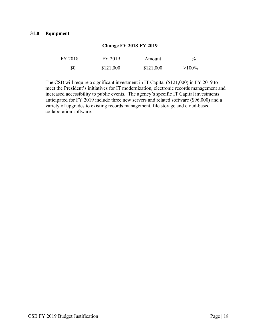# **31.0 Equipment**

| FY 2018 | FY 2019   | Amount    | $\frac{0}{2}$ |
|---------|-----------|-----------|---------------|
| \$0     | \$121,000 | \$121,000 | $>100\%$      |

**Change FY 2018-FY 2019**

The CSB will require a significant investment in IT Capital (\$121,000) in FY 2019 to meet the President's initiatives for IT modernization, electronic records management and increased accessibility to public events. The agency's specific IT Capital investments anticipated for FY 2019 include three new servers and related software (\$96,000) and a variety of upgrades to existing records management, file storage and cloud-based collaboration software.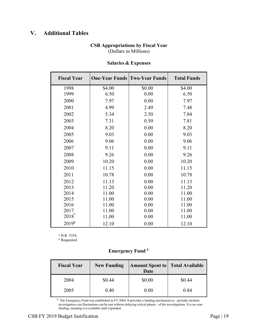# **V. Additional Tables**

# **CSB Appropriations by Fiscal Year**  (Dollars in Millions)

| <b>Fiscal Year</b> |        | <b>One-Year Funds Two-Year Funds</b> | <b>Total Funds</b> |
|--------------------|--------|--------------------------------------|--------------------|
| 1998               | \$4.00 | \$0.00                               | \$4.00             |
| 1999               | 6.50   | 0.00                                 | 6.50               |
| 2000               | 7.97   | 0.00                                 | 7.97               |
| 2001               | 4.99   | 2.49                                 | 7.48               |
| 2002               | 5.34   | 2.50                                 | 7.84               |
| 2003               | 7.31   | 0.50                                 | 7.81               |
| 2004               | 8.20   | 0.00                                 | 8.20               |
| 2005               | 9.03   | 0.00                                 | 9.03               |
| 2006               | 9.06   | 0.00                                 | 9.06               |
| 2007               | 9.11   | 0.00                                 | 9.11               |
| 2008               | 9.26   | 0.00                                 | 9.26               |
| 2009               | 10.20  | 0.00                                 | 10.20              |
| 2010               | 11.15  | 0.00                                 | 11.15              |
| 2011               | 10.78  | 0.00                                 | 10.78              |
| 2012               | 11.13  | 0.00                                 | 11.13              |
| 2013               | 11.20  | 0.00                                 | 11.20              |
| 2014               | 11.00  | 0.00                                 | 11.00              |
| 2015               | 11.00  | 0.00                                 | 11.00              |
| 2016               | 11.00  | 0.00                                 | 11.00              |
| 2017               | 11.00  | 0.00                                 | 11.00              |
| $2018^a$           | 11.00  | 0.00                                 | 11.00              |
| $2019^{b}$         | 12.10  | 0.00                                 | 12.10              |

# **Salaries & Expenses**

a. H.R. 3354.

b. Requested.

# **Emergency Fund C**

| <b>Fiscal Year</b> | <b>New Funding</b> | <b>Amount Spent to   Total Available</b><br><b>Date</b> |        |  |
|--------------------|--------------------|---------------------------------------------------------|--------|--|
| 2004               | \$0.44             | \$0.00                                                  | \$0.44 |  |
| 2005               | 0.40               | 0.00                                                    | 0.84   |  |

 $c$ . The Emergency Fund was established in FY 2004. It provides a funding mechanism so periodic incident investigation cost fluctuations can be met without delaying critical phases of the investigations. It is no-year funding, meaning it is available until expended.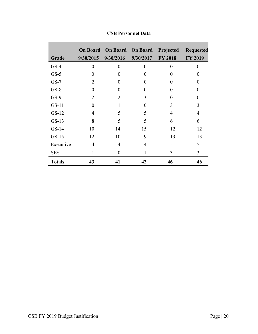|               |                  | <b>On Board</b> On Board | <b>On Board</b>  | Projected      | <b>Requested</b> |
|---------------|------------------|--------------------------|------------------|----------------|------------------|
| Grade         | 9/30/2015        | 9/30/2016                | 9/30/2017        | <b>FY 2018</b> | <b>FY 2019</b>   |
| $GS-4$        | $\boldsymbol{0}$ | $\overline{0}$           | $\boldsymbol{0}$ | $\theta$       | $\overline{0}$   |
| $GS-5$        | $\overline{0}$   | $\theta$                 | $\Omega$         | 0              | $\overline{0}$   |
| $GS-7$        | $\overline{2}$   | $\theta$                 | $\Omega$         | 0              | 0                |
| $GS-8$        | $\overline{0}$   | $\theta$                 | 0                | $\theta$       | 0                |
| $GS-9$        | $\overline{2}$   | $\overline{2}$           | 3                | 0              | 0                |
| $GS-11$       | $\overline{0}$   | 1                        | $\theta$         | 3              | 3                |
| $GS-12$       | $\overline{4}$   | 5                        | 5                | $\overline{4}$ | $\overline{4}$   |
| $GS-13$       | 8                | 5                        | 5                | 6              | 6                |
| $GS-14$       | 10               | 14                       | 15               | 12             | 12               |
| $GS-15$       | 12               | 10                       | 9                | 13             | 13               |
| Executive     | $\overline{4}$   | 4                        | 4                | 5              | 5                |
| <b>SES</b>    | $\mathbf{1}$     | $\boldsymbol{0}$         | 1                | 3              | 3                |
| <b>Totals</b> | 43               | 41                       | 42               | 46             | 46               |

# **CSB Personnel Data**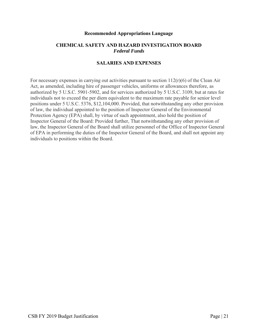#### **Recommended Appropriations Language**

# **CHEMICAL SAFETY AND HAZARD INVESTIGATION BOARD** *Federal Funds*

# **SALARIES AND EXPENSES**

For necessary expenses in carrying out activities pursuant to section  $112(r)(6)$  of the Clean Air Act, as amended, including hire of passenger vehicles, uniforms or allowances therefore, as authorized by 5 U.S.C. 5901-5902, and for services authorized by 5 U.S.C. 3109, but at rates for individuals not to exceed the per diem equivalent to the maximum rate payable for senior level positions under 5 U.S.C. 5376, \$12,104,000. Provided, that notwithstanding any other provision of law, the individual appointed to the position of Inspector General of the Environmental Protection Agency (EPA) shall, by virtue of such appointment, also hold the position of Inspector General of the Board: Provided further, That notwithstanding any other provision of law, the Inspector General of the Board shall utilize personnel of the Office of Inspector General of EPA in performing the duties of the Inspector General of the Board, and shall not appoint any individuals to positions within the Board.